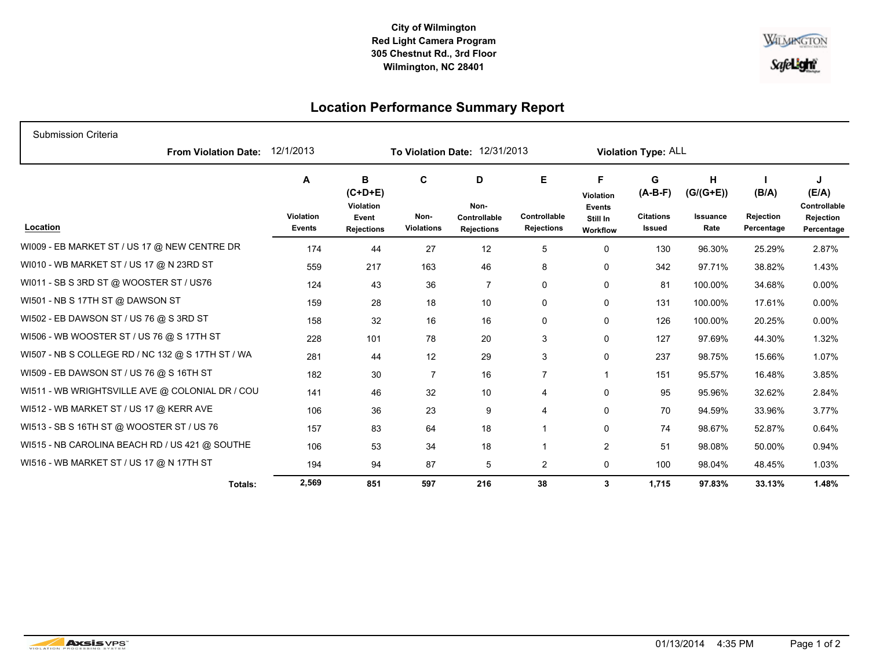## **City of Wilmington Red Light Camera Program 305 Chestnut Rd., 3rd Floor Wilmington, NC 28401**



## **Location Performance Summary Report**

| Submission Criteria                               |                          |                                                                  |                                |                                                |                                        |                                                         |                                              |                                      |                                         |                                                       |
|---------------------------------------------------|--------------------------|------------------------------------------------------------------|--------------------------------|------------------------------------------------|----------------------------------------|---------------------------------------------------------|----------------------------------------------|--------------------------------------|-----------------------------------------|-------------------------------------------------------|
| <b>From Violation Date:</b>                       | 12/1/2013                | To Violation Date: 12/31/2013                                    |                                |                                                |                                        | Violation Type: ALL                                     |                                              |                                      |                                         |                                                       |
| Location                                          | A<br>Violation<br>Events | В<br>$(C+D+E)$<br><b>Violation</b><br>Event<br><b>Rejections</b> | C<br>Non-<br><b>Violations</b> | D<br>Non-<br>Controllable<br><b>Rejections</b> | E<br>Controllable<br><b>Rejections</b> | F<br>Violation<br><b>Events</b><br>Still In<br>Workflow | G<br>$(A-B-F)$<br><b>Citations</b><br>Issued | н<br>$(G/(G+E))$<br>Issuance<br>Rate | (B/A)<br><b>Rejection</b><br>Percentage | J<br>(E/A)<br>Controllable<br>Rejection<br>Percentage |
| WI009 - EB MARKET ST / US 17 @ NEW CENTRE DR      | 174                      | 44                                                               | 27                             | 12                                             | 5                                      | 0                                                       | 130                                          | 96.30%                               | 25.29%                                  | 2.87%                                                 |
| WI010 - WB MARKET ST / US 17 @ N 23RD ST          | 559                      | 217                                                              | 163                            | 46                                             | 8                                      | 0                                                       | 342                                          | 97.71%                               | 38.82%                                  | 1.43%                                                 |
| WI011 - SB S 3RD ST @ WOOSTER ST / US76           | 124                      | 43                                                               | 36                             | $\overline{7}$                                 | 0                                      | 0                                                       | 81                                           | 100.00%                              | 34.68%                                  | $0.00\%$                                              |
| WI501 - NB S 17TH ST @ DAWSON ST                  | 159                      | 28                                                               | 18                             | 10                                             | 0                                      | 0                                                       | 131                                          | 100.00%                              | 17.61%                                  | $0.00\%$                                              |
| WI502 - EB DAWSON ST / US 76 @ S 3RD ST           | 158                      | 32                                                               | 16                             | 16                                             | 0                                      | 0                                                       | 126                                          | 100.00%                              | 20.25%                                  | $0.00\%$                                              |
| WI506 - WB WOOSTER ST / US 76 @ S 17TH ST         | 228                      | 101                                                              | 78                             | 20                                             | 3                                      | 0                                                       | 127                                          | 97.69%                               | 44.30%                                  | 1.32%                                                 |
| WI507 - NB S COLLEGE RD / NC 132 @ S 17TH ST / WA | 281                      | 44                                                               | 12                             | 29                                             | 3                                      | 0                                                       | 237                                          | 98.75%                               | 15.66%                                  | 1.07%                                                 |
| WI509 - EB DAWSON ST / US 76 @ S 16TH ST          | 182                      | 30                                                               | $\overline{7}$                 | 16                                             | $\overline{7}$                         | $\mathbf{1}$                                            | 151                                          | 95.57%                               | 16.48%                                  | 3.85%                                                 |
| WI511 - WB WRIGHTSVILLE AVE @ COLONIAL DR / COU   | 141                      | 46                                                               | 32                             | 10                                             | 4                                      | 0                                                       | 95                                           | 95.96%                               | 32.62%                                  | 2.84%                                                 |
| WI512 - WB MARKET ST / US 17 @ KERR AVE           | 106                      | 36                                                               | 23                             | 9                                              | 4                                      | 0                                                       | 70                                           | 94.59%                               | 33.96%                                  | 3.77%                                                 |
| WI513 - SB S 16TH ST @ WOOSTER ST / US 76         | 157                      | 83                                                               | 64                             | 18                                             |                                        | 0                                                       | 74                                           | 98.67%                               | 52.87%                                  | 0.64%                                                 |
| WI515 - NB CAROLINA BEACH RD / US 421 @ SOUTHE    | 106                      | 53                                                               | 34                             | 18                                             |                                        | $\overline{c}$                                          | 51                                           | 98.08%                               | 50.00%                                  | 0.94%                                                 |
| WI516 - WB MARKET ST / US 17 @ N 17TH ST          | 194                      | 94                                                               | 87                             | 5                                              | 2                                      | 0                                                       | 100                                          | 98.04%                               | 48.45%                                  | 1.03%                                                 |
| Totals:                                           | 2,569                    | 851                                                              | 597                            | 216                                            | 38                                     | 3                                                       | 1,715                                        | 97.83%                               | 33.13%                                  | 1.48%                                                 |